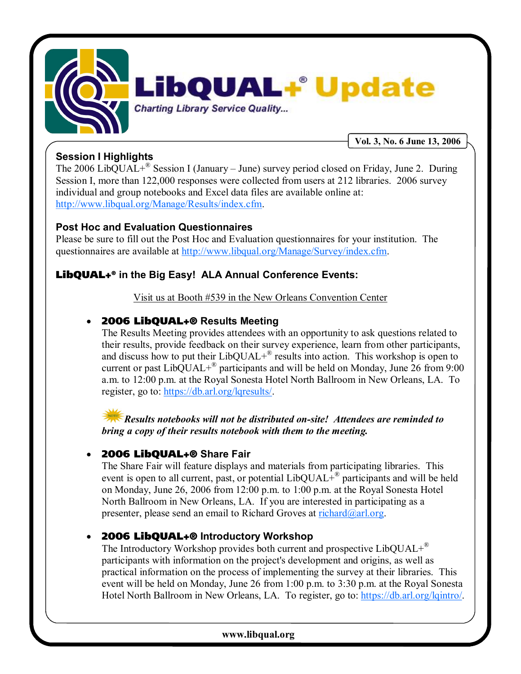

### **Session I Highlights**

The 2006 LibQUAL+<sup>®</sup> Session I (January – June) survey period closed on Friday, June 2. During Session I, more than 122,000 responses were collected from users at 212 libraries. 2006 survey individual and group notebooks and Excel data files are available online at: [http://www.libqual.org/Manage/Results/index.cfm.](http://old.libqual.org/Manage/Results/index.cfm)

#### **Post Hoc and Evaluation Questionnaires**

Please be sure to fill out the Post Hoc and Evaluation questionnaires for your institution. The questionnaires are available at [http://www.libqual.org/Manage/Survey/index.cfm](http://old.libqual.org/Manage/Survey/index.cfm).

# **LibQUAL+ ® in the Big Easy! ALA Annual Conference Events:**

Visit us at Booth #539 in the New Orleans Convention Center

# · **2006 LibQUAL+® Results Meeting**

The Results Meeting provides attendees with an opportunity to ask questions related to their results, provide feedback on their survey experience, learn from other participants, and discuss how to put their  $LibOUAL +<sup>®</sup>$  results into action. This workshop is open to current or past  $LibQUAL+^{\circledR}$  participants and will be held on Monday, June 26 from 9:00 a.m. to 12:00 p.m. at the Royal Sonesta Hotel North Ballroom in New Orleans, LA. To register, go to: <https://db.arl.org/lqresults/>.

*Results notebooks will not be distributed on-site! Attendees are reminded to bring a copy of their results notebook with them to the meeting.*

# · **2006 LibQUAL+® Share Fair**

The Share Fair will feature displays and materials from participating libraries. This event is open to all current, past, or potential  $LibQUAL +^{\circledR}$  participants and will be held on Monday, June 26, 2006 from 12:00 p.m. to 1:00 p.m. at the Royal Sonesta Hotel North Ballroom in New Orleans, LA. If you are interested in participating as a presenter, please send an email to Richard Groves at  $\frac{\text{richard}(a)}{a}$ rl.org.

# · **2006 LibQUAL+® Introductory Workshop**

The Introductory Workshop provides both current and prospective  $LibQUAL+^{\circledR}$ participants with information on the project's development and origins, as well as practical information on the process of implementing the survey at their libraries. This event will be held on Monday, June 26 from 1:00 p.m. to 3:30 p.m. at the Royal Sonesta Hotel North Ballroom in New Orleans, LA. To register, go to: [https://db.arl.org/lqintro/.](https://db.arl.org/lqintro/)